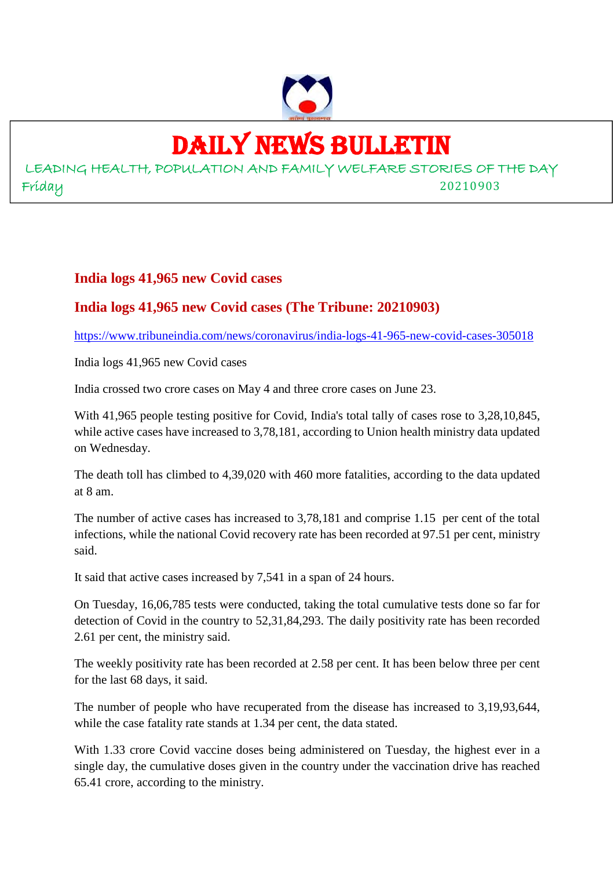

## DAILY NEWS BULLETIN

LEADING HEALTH, POPULATION AND FAMILY WELFARE STORIES OF THE DAY Friday 20210903

#### **India logs 41,965 new Covid cases**

#### **India logs 41,965 new Covid cases (The Tribune: 20210903)**

https://www.tribuneindia.com/news/coronavirus/india-logs-41-965-new-covid-cases-305018

India logs 41,965 new Covid cases

India crossed two crore cases on May 4 and three crore cases on June 23.

With 41,965 people testing positive for Covid, India's total tally of cases rose to 3,28,10,845, while active cases have increased to 3,78,181, according to Union health ministry data updated on Wednesday.

The death toll has climbed to 4,39,020 with 460 more fatalities, according to the data updated at 8 am.

The number of active cases has increased to 3,78,181 and comprise 1.15 per cent of the total infections, while the national Covid recovery rate has been recorded at 97.51 per cent, ministry said.

It said that active cases increased by 7,541 in a span of 24 hours.

On Tuesday, 16,06,785 tests were conducted, taking the total cumulative tests done so far for detection of Covid in the country to 52,31,84,293. The daily positivity rate has been recorded 2.61 per cent, the ministry said.

The weekly positivity rate has been recorded at 2.58 per cent. It has been below three per cent for the last 68 days, it said.

The number of people who have recuperated from the disease has increased to 3,19,93,644, while the case fatality rate stands at 1.34 per cent, the data stated.

With 1.33 crore Covid vaccine doses being administered on Tuesday, the highest ever in a single day, the cumulative doses given in the country under the vaccination drive has reached 65.41 crore, according to the ministry.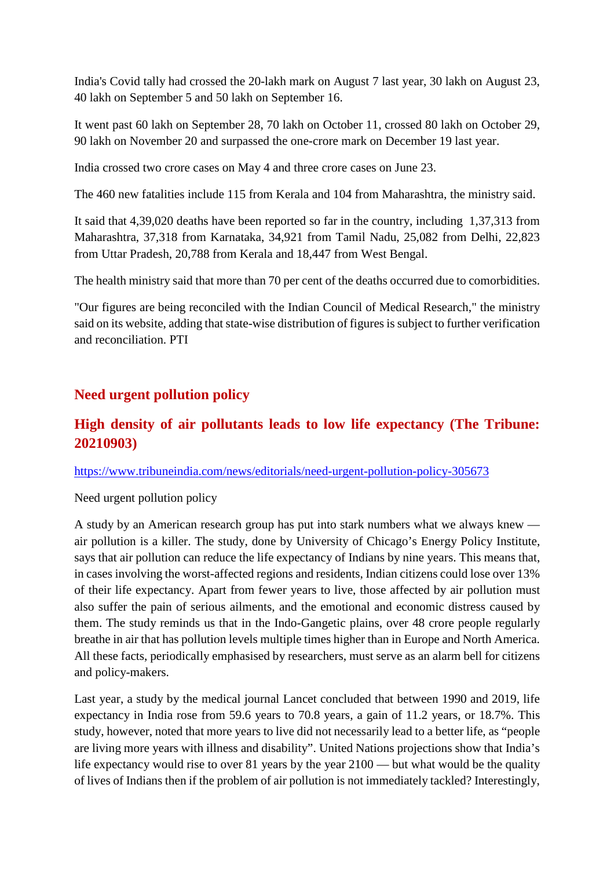India's Covid tally had crossed the 20-lakh mark on August 7 last year, 30 lakh on August 23, 40 lakh on September 5 and 50 lakh on September 16.

It went past 60 lakh on September 28, 70 lakh on October 11, crossed 80 lakh on October 29, 90 lakh on November 20 and surpassed the one-crore mark on December 19 last year.

India crossed two crore cases on May 4 and three crore cases on June 23.

The 460 new fatalities include 115 from Kerala and 104 from Maharashtra, the ministry said.

It said that 4,39,020 deaths have been reported so far in the country, including 1,37,313 from Maharashtra, 37,318 from Karnataka, 34,921 from Tamil Nadu, 25,082 from Delhi, 22,823 from Uttar Pradesh, 20,788 from Kerala and 18,447 from West Bengal.

The health ministry said that more than 70 per cent of the deaths occurred due to comorbidities.

"Our figures are being reconciled with the Indian Council of Medical Research," the ministry said on its website, adding that state-wise distribution of figures is subject to further verification and reconciliation. PTI

#### **Need urgent pollution policy**

#### **High density of air pollutants leads to low life expectancy (The Tribune: 20210903)**

https://www.tribuneindia.com/news/editorials/need-urgent-pollution-policy-305673

#### Need urgent pollution policy

A study by an American research group has put into stark numbers what we always knew air pollution is a killer. The study, done by University of Chicago's Energy Policy Institute, says that air pollution can reduce the life expectancy of Indians by nine years. This means that, in cases involving the worst-affected regions and residents, Indian citizens could lose over 13% of their life expectancy. Apart from fewer years to live, those affected by air pollution must also suffer the pain of serious ailments, and the emotional and economic distress caused by them. The study reminds us that in the Indo-Gangetic plains, over 48 crore people regularly breathe in air that has pollution levels multiple times higher than in Europe and North America. All these facts, periodically emphasised by researchers, must serve as an alarm bell for citizens and policy-makers.

Last year, a study by the medical journal Lancet concluded that between 1990 and 2019, life expectancy in India rose from 59.6 years to 70.8 years, a gain of 11.2 years, or 18.7%. This study, however, noted that more years to live did not necessarily lead to a better life, as "people are living more years with illness and disability". United Nations projections show that India's life expectancy would rise to over 81 years by the year 2100 — but what would be the quality of lives of Indians then if the problem of air pollution is not immediately tackled? Interestingly,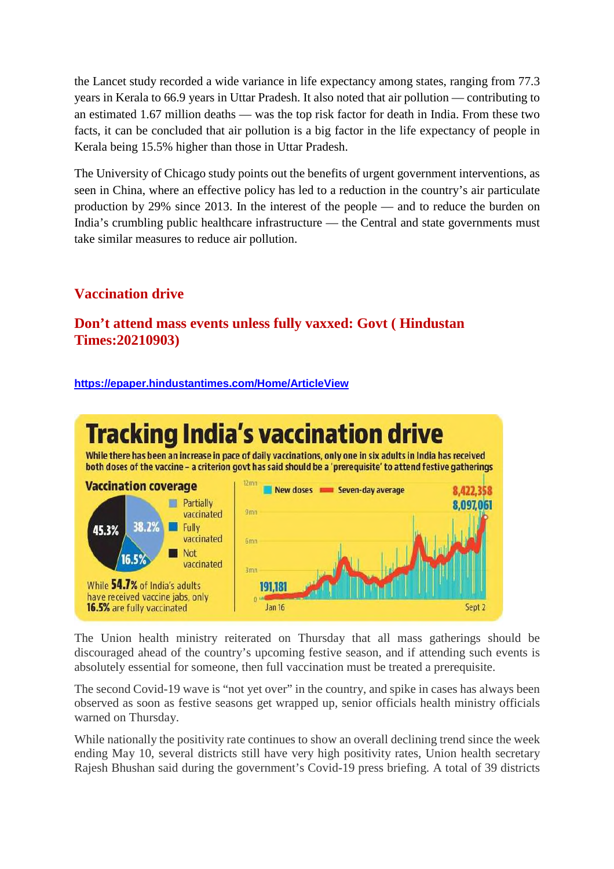the Lancet study recorded a wide variance in life expectancy among states, ranging from 77.3 years in Kerala to 66.9 years in Uttar Pradesh. It also noted that air pollution — contributing to an estimated 1.67 million deaths — was the top risk factor for death in India. From these two facts, it can be concluded that air pollution is a big factor in the life expectancy of people in Kerala being 15.5% higher than those in Uttar Pradesh.

The University of Chicago study points out the benefits of urgent government interventions, as seen in China, where an effective policy has led to a reduction in the country's air particulate production by 29% since 2013. In the interest of the people — and to reduce the burden on India's crumbling public healthcare infrastructure — the Central and state governments must take similar measures to reduce air pollution.

## **Vaccination drive**

#### **Don't attend mass events unless fully vaxxed: Govt ( Hindustan Times:20210903)**

#### **https://epaper.hindustantimes.com/Home/ArticleView**



The Union health ministry reiterated on Thursday that all mass gatherings should be discouraged ahead of the country's upcoming festive season, and if attending such events is absolutely essential for someone, then full vaccination must be treated a prerequisite.

The second Covid-19 wave is "not yet over" in the country, and spike in cases has always been observed as soon as festive seasons get wrapped up, senior officials health ministry officials warned on Thursday.

While nationally the positivity rate continues to show an overall declining trend since the week ending May 10, several districts still have very high positivity rates, Union health secretary Rajesh Bhushan said during the government's Covid-19 press briefing. A total of 39 districts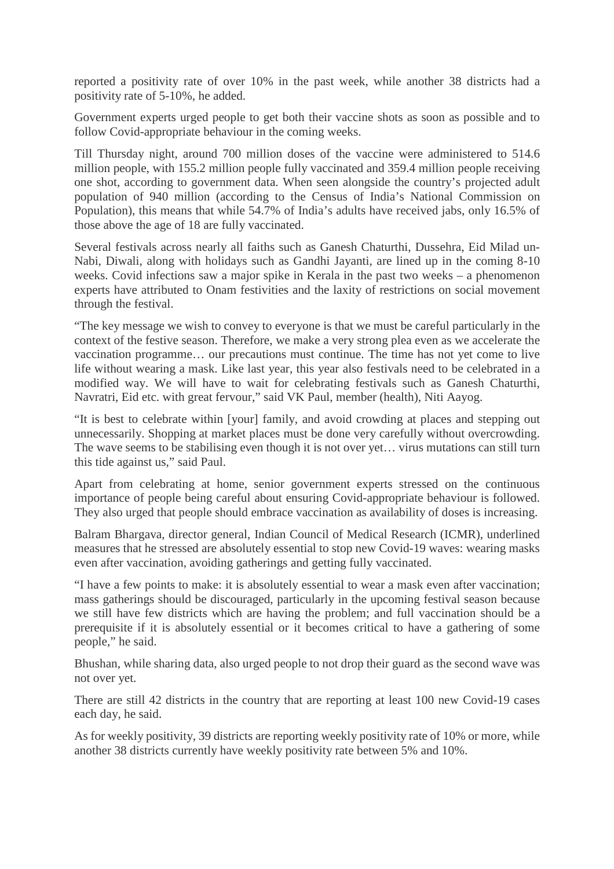reported a positivity rate of over 10% in the past week, while another 38 districts had a positivity rate of 5-10%, he added.

Government experts urged people to get both their vaccine shots as soon as possible and to follow Covid-appropriate behaviour in the coming weeks.

Till Thursday night, around 700 million doses of the vaccine were administered to 514.6 million people, with 155.2 million people fully vaccinated and 359.4 million people receiving one shot, according to government data. When seen alongside the country's projected adult population of 940 million (according to the Census of India's National Commission on Population), this means that while 54.7% of India's adults have received jabs, only 16.5% of those above the age of 18 are fully vaccinated.

Several festivals across nearly all faiths such as Ganesh Chaturthi, Dussehra, Eid Milad un-Nabi, Diwali, along with holidays such as Gandhi Jayanti, are lined up in the coming 8-10 weeks. Covid infections saw a major spike in Kerala in the past two weeks – a phenomenon experts have attributed to Onam festivities and the laxity of restrictions on social movement through the festival.

"The key message we wish to convey to everyone is that we must be careful particularly in the context of the festive season. Therefore, we make a very strong plea even as we accelerate the vaccination programme… our precautions must continue. The time has not yet come to live life without wearing a mask. Like last year, this year also festivals need to be celebrated in a modified way. We will have to wait for celebrating festivals such as Ganesh Chaturthi, Navratri, Eid etc. with great fervour," said VK Paul, member (health), Niti Aayog.

"It is best to celebrate within [your] family, and avoid crowding at places and stepping out unnecessarily. Shopping at market places must be done very carefully without overcrowding. The wave seems to be stabilising even though it is not over yet… virus mutations can still turn this tide against us," said Paul.

Apart from celebrating at home, senior government experts stressed on the continuous importance of people being careful about ensuring Covid-appropriate behaviour is followed. They also urged that people should embrace vaccination as availability of doses is increasing.

Balram Bhargava, director general, Indian Council of Medical Research (ICMR), underlined measures that he stressed are absolutely essential to stop new Covid-19 waves: wearing masks even after vaccination, avoiding gatherings and getting fully vaccinated.

"I have a few points to make: it is absolutely essential to wear a mask even after vaccination; mass gatherings should be discouraged, particularly in the upcoming festival season because we still have few districts which are having the problem; and full vaccination should be a prerequisite if it is absolutely essential or it becomes critical to have a gathering of some people," he said.

Bhushan, while sharing data, also urged people to not drop their guard as the second wave was not over yet.

There are still 42 districts in the country that are reporting at least 100 new Covid-19 cases each day, he said.

As for weekly positivity, 39 districts are reporting weekly positivity rate of 10% or more, while another 38 districts currently have weekly positivity rate between 5% and 10%.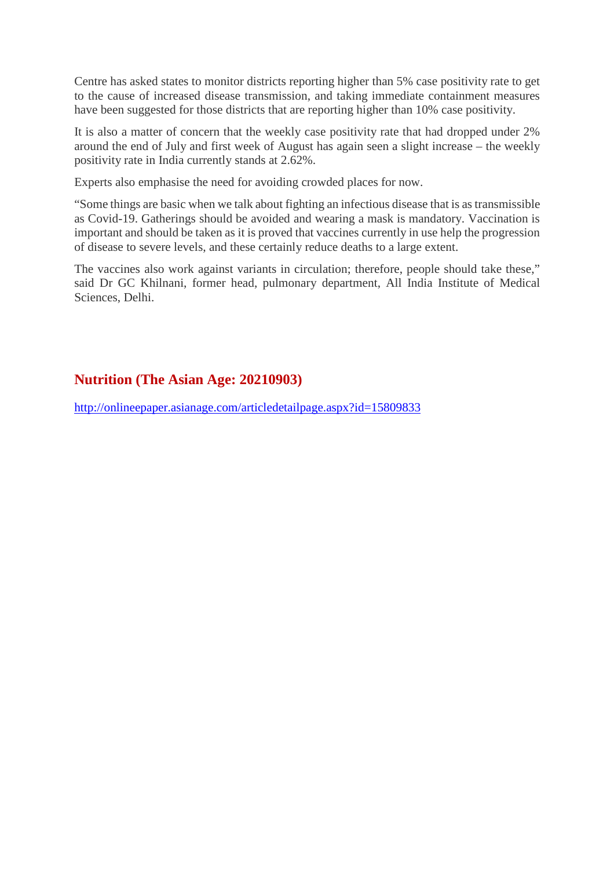Centre has asked states to monitor districts reporting higher than 5% case positivity rate to get to the cause of increased disease transmission, and taking immediate containment measures have been suggested for those districts that are reporting higher than 10% case positivity.

It is also a matter of concern that the weekly case positivity rate that had dropped under 2% around the end of July and first week of August has again seen a slight increase – the weekly positivity rate in India currently stands at 2.62%.

Experts also emphasise the need for avoiding crowded places for now.

"Some things are basic when we talk about fighting an infectious disease that is as transmissible as Covid-19. Gatherings should be avoided and wearing a mask is mandatory. Vaccination is important and should be taken as it is proved that vaccines currently in use help the progression of disease to severe levels, and these certainly reduce deaths to a large extent.

The vaccines also work against variants in circulation; therefore, people should take these," said Dr GC Khilnani, former head, pulmonary department, All India Institute of Medical Sciences, Delhi.

#### **Nutrition (The Asian Age: 20210903)**

http://onlineepaper.asianage.com/articledetailpage.aspx?id=15809833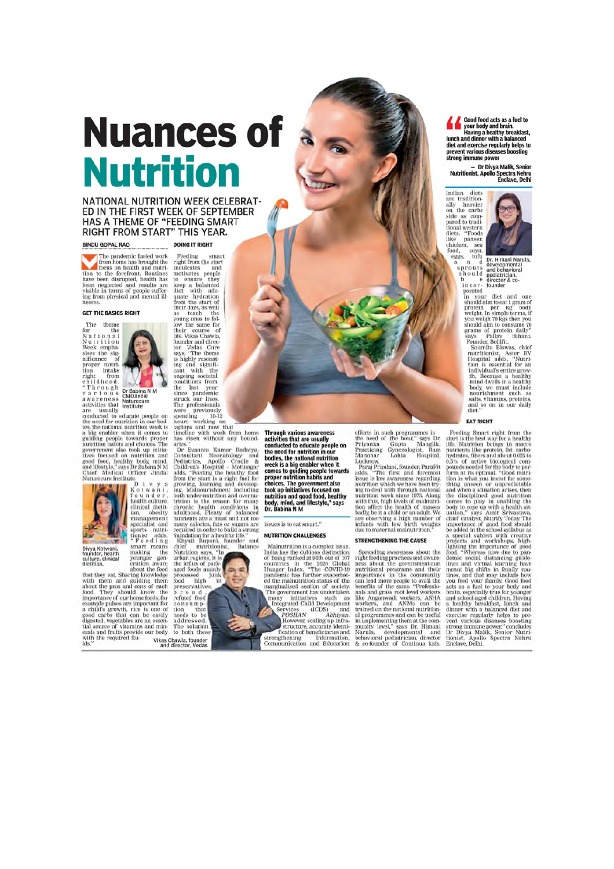## **Nuances of Nutrition**

#### NATIONAL NUTRITION WEEK CELEBRAT-ED IN THE FIRST WEEK OF SEPTEMBER HAS A THEME OF "FEEDING SMART RIGHT FROM START" THIS YEAR.

#### **BINDU GOPAL RAO**

Feeding right from the start

**DOING IT RIGHT** 

smart

The pandemic fueled work The paradement cueva work<br>from home has brought the<br>tion to the forefront. Routines<br>have been disrupted, health has<br>been neglected and results are<br>visible in terms of people suffer-<br>mosses

#### **GET THE BASICS RIGHT**

The them<br>The them<br>for the Nutrition<br>Nutrition and Neek emphasing<br>mificance of tion<br>inflation in the result of the Through<br>a awareness activities that activities<br>are usually

Dr Babina N M<br>CMOJindal Naturecure<br>Institute





Divya Kotwani,<br>founder, health<br>culture, clinical<br>dietitian,

eration aware<br>about the food that they eat. Sharing knowledge with them and guiding them<br>about the pros and cons of each<br>food. They should know the<br>importance of our home foods, for mportance of our home foods, for example pulses are important for a child's growth, rice is one of good carbs that can be easily digested, vegetables are an essential source of vitamins and minimized are and secular with

inculcates and the<br>control of the constructions and inculcates and konstructure they to<br>their deviation of the start of the start of the start of<br>their days, as well become the start of<br>the start of the construction of the inculcates and<br>motivates people and

time<br>interval to the relation of the relationships without any boundaries."<br>
has risen without any boundaries are without any boundaries are the<br>state of the condition of the definition of the definition of<br>the diaders. T

rood high<br>preservatives,<br>b r e a b r e a d, consump-<br>tion that<br>needs to be<br>addressed. The solution<br>to both these

Vikas Chawla, founder<br>and director, Vedas

**Through various awareness** Through various awareness<br>activities that are usually<br>conducted to educate people on<br>the need for nutrition in our<br>hodies, the national nutrition<br>week is a big enabler when it<br>scames to quiding papelle toward week is a bug enabler when it<br>comes to guiding people towards<br>proper nutrition habits and<br>choices. The government also<br>took up initiatives focused on<br>nutrition and good food, healthy<br>by, mind, and lifestyle," says<br>Dr. Babi

issues is to eat smart." NUTRITION CHALLENGES

 $\label{eq:mdm} \begin{tabular}{p{0.8cm}} \textbf{M}almutrition is a complex issue. \textbf{India has the dubious distinction of being ranked at 94th out of 107 of 107. \textbf{I} and 107. \textbf{I} and 107. \textbf{I} and 108. \textbf{I} are made made. \textbf{I} are done with a  
parallel has further easerbated the malinutition status of the two-\\ \textbf{I} and the uninutiation status of the one-\\ \textbf{I} and 199. \textbf{I} and 199. \textbf{I} are the  
the uninuilised. \end{tabular}$ marginalised section of society.<br>The government has undertaken ne government nas underwater<br>many initiatives such as<br>heigrated Child Development<br>Newton 40000 and<br> $POSHAN$  Abhityan.<br> $POSHAN$  Abhityan.<br>Structure, galaxy in information<br>structure, accurate identi-<br>condition of beneficiaries a many strengthening Information,<br>Communication and Education

efforts in such programmes is<br>the need of the hour," says Dr.<br>Priyanka Gupta Manglik,<br>Practicing Gynecologist, Ram<br>Manohar Lohia Hospital,

Manohar Lohia Hospital, Para<br>Fucknow, Hospital, Para<br>Fucknow, Para<br>Terminish, founder, Para<br>Fucknow Star is the first and foremost issue is low awareness regarding<br>mutrition which we have been trying to deal with this, hi

#### STRENGTHENING THE CAUSE

Spreading awareness about the Spreading awareness about the right feeding practices and a<br>wareness about the ness about the government-run muntritional programs and their cannel<br>muntritional more people to avail the control benefits of the same. "Prof

Good food acts as a fuel to<br>
your body and brain.<br>
Having a healthy breakfast,<br>
lunch and dinner with a balanced<br>
diet and exercise regularly helps to<br>
prevent various diseases boosting strong immune power

are tradition<br>ally Indian diate are tradition-<br>ally heavier<br>on the carbs<br>side as com-<br>pared to tradi-<br>tional western<br>diets. "Foods like paneer chicken. sea food. sova eggs,  $\mathop{\mathrm{tor}}\nolimits_{\mathrm{d}}^{\mathrm{tu}}$ ä



prouts and behavioral<br>the and behavioral phenometral should pediatrician,<br>b e director & co-<br>prorector & co-<br>prorector & co-<br>protector & co-<br>protector & co-<br>protector & co-<br>protector and the and one<br>should aim to eat 1 gr

**EAT RIGHT** 

 $\blacksquare$  EAT RIGHT Format right from the start is the best way for a healthy inferration buthe. Nucrition by the start and about our particle of the solid of the body to provide solid from the body to provide from a studied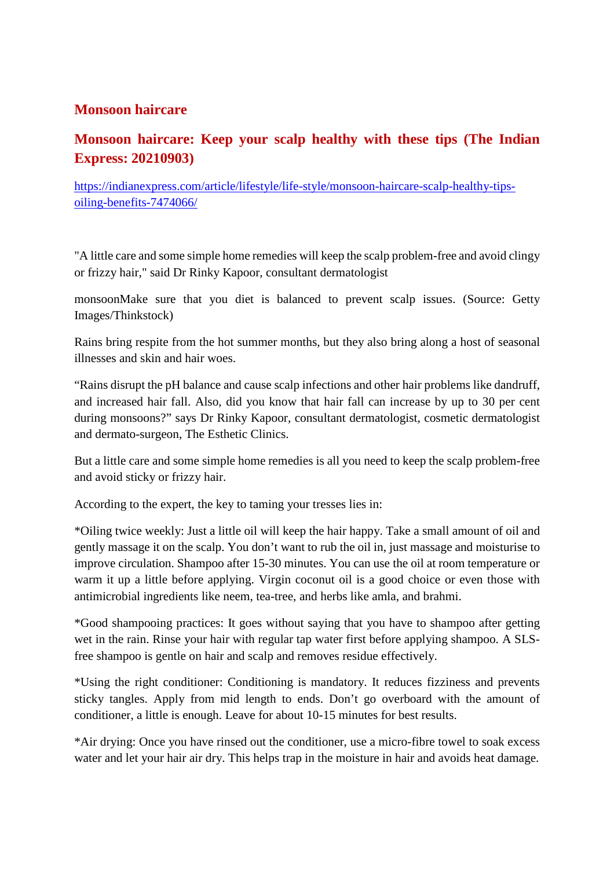#### **Monsoon haircare**

## **Monsoon haircare: Keep your scalp healthy with these tips (The Indian Express: 20210903)**

https://indianexpress.com/article/lifestyle/life-style/monsoon-haircare-scalp-healthy-tipsoiling-benefits-7474066/

"A little care and some simple home remedies will keep the scalp problem-free and avoid clingy or frizzy hair," said Dr Rinky Kapoor, consultant dermatologist

monsoonMake sure that you diet is balanced to prevent scalp issues. (Source: Getty Images/Thinkstock)

Rains bring respite from the hot summer months, but they also bring along a host of seasonal illnesses and skin and hair woes.

"Rains disrupt the pH balance and cause scalp infections and other hair problems like dandruff, and increased hair fall. Also, did you know that hair fall can increase by up to 30 per cent during monsoons?" says Dr Rinky Kapoor, consultant dermatologist, cosmetic dermatologist and dermato-surgeon, The Esthetic Clinics.

But a little care and some simple home remedies is all you need to keep the scalp problem-free and avoid sticky or frizzy hair.

According to the expert, the key to taming your tresses lies in:

\*Oiling twice weekly: Just a little oil will keep the hair happy. Take a small amount of oil and gently massage it on the scalp. You don't want to rub the oil in, just massage and moisturise to improve circulation. Shampoo after 15-30 minutes. You can use the oil at room temperature or warm it up a little before applying. Virgin coconut oil is a good choice or even those with antimicrobial ingredients like neem, tea-tree, and herbs like amla, and brahmi.

\*Good shampooing practices: It goes without saying that you have to shampoo after getting wet in the rain. Rinse your hair with regular tap water first before applying shampoo. A SLSfree shampoo is gentle on hair and scalp and removes residue effectively.

\*Using the right conditioner: Conditioning is mandatory. It reduces fizziness and prevents sticky tangles. Apply from mid length to ends. Don't go overboard with the amount of conditioner, a little is enough. Leave for about 10-15 minutes for best results.

\*Air drying: Once you have rinsed out the conditioner, use a micro-fibre towel to soak excess water and let your hair air dry. This helps trap in the moisture in hair and avoids heat damage.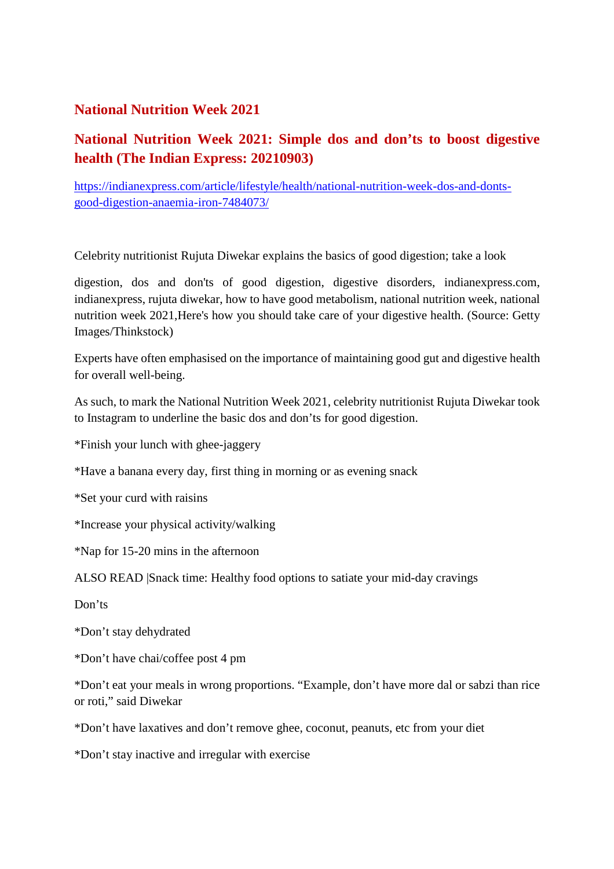#### **National Nutrition Week 2021**

## **National Nutrition Week 2021: Simple dos and don'ts to boost digestive health (The Indian Express: 20210903)**

https://indianexpress.com/article/lifestyle/health/national-nutrition-week-dos-and-dontsgood-digestion-anaemia-iron-7484073/

Celebrity nutritionist Rujuta Diwekar explains the basics of good digestion; take a look

digestion, dos and don'ts of good digestion, digestive disorders, indianexpress.com, indianexpress, rujuta diwekar, how to have good metabolism, national nutrition week, national nutrition week 2021,Here's how you should take care of your digestive health. (Source: Getty Images/Thinkstock)

Experts have often emphasised on the importance of maintaining good gut and digestive health for overall well-being.

As such, to mark the National Nutrition Week 2021, celebrity nutritionist Rujuta Diwekar took to Instagram to underline the basic dos and don'ts for good digestion.

\*Finish your lunch with ghee-jaggery

\*Have a banana every day, first thing in morning or as evening snack

\*Set your curd with raisins

\*Increase your physical activity/walking

\*Nap for 15-20 mins in the afternoon

ALSO READ |Snack time: Healthy food options to satiate your mid-day cravings

Don'ts

\*Don't stay dehydrated

\*Don't have chai/coffee post 4 pm

\*Don't eat your meals in wrong proportions. "Example, don't have more dal or sabzi than rice or roti," said Diwekar

\*Don't have laxatives and don't remove ghee, coconut, peanuts, etc from your diet

\*Don't stay inactive and irregular with exercise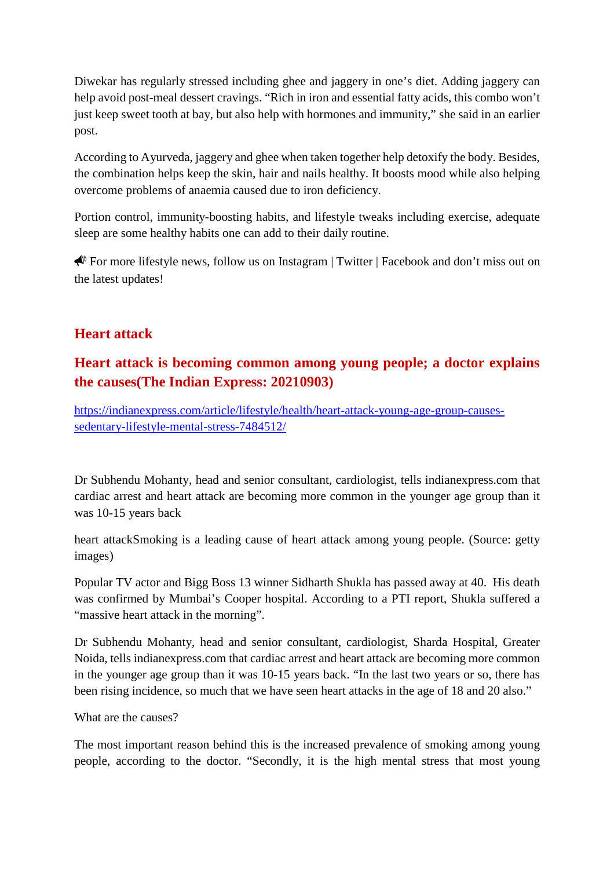Diwekar has regularly stressed including ghee and jaggery in one's diet. Adding jaggery can help avoid post-meal dessert cravings. "Rich in iron and essential fatty acids, this combo won't just keep sweet tooth at bay, but also help with hormones and immunity," she said in an earlier post.

According to Ayurveda, jaggery and ghee when taken together help detoxify the body. Besides, the combination helps keep the skin, hair and nails healthy. It boosts mood while also helping overcome problems of anaemia caused due to iron deficiency.

Portion control, immunity-boosting habits, and lifestyle tweaks including exercise, adequate sleep are some healthy habits one can add to their daily routine.

For more lifestyle news, follow us on Instagram | Twitter | Facebook and don't miss out on the latest updates!

#### **Heart attack**

## **Heart attack is becoming common among young people; a doctor explains the causes(The Indian Express: 20210903)**

https://indianexpress.com/article/lifestyle/health/heart-attack-young-age-group-causessedentary-lifestyle-mental-stress-7484512/

Dr Subhendu Mohanty, head and senior consultant, cardiologist, tells indianexpress.com that cardiac arrest and heart attack are becoming more common in the younger age group than it was 10-15 years back

heart attackSmoking is a leading cause of heart attack among young people. (Source: getty images)

Popular TV actor and Bigg Boss 13 winner Sidharth Shukla has passed away at 40. His death was confirmed by Mumbai's Cooper hospital. According to a PTI report, Shukla suffered a "massive heart attack in the morning".

Dr Subhendu Mohanty, head and senior consultant, cardiologist, Sharda Hospital, Greater Noida, tells indianexpress.com that cardiac arrest and heart attack are becoming more common in the younger age group than it was 10-15 years back. "In the last two years or so, there has been rising incidence, so much that we have seen heart attacks in the age of 18 and 20 also."

What are the causes?

The most important reason behind this is the increased prevalence of smoking among young people, according to the doctor. "Secondly, it is the high mental stress that most young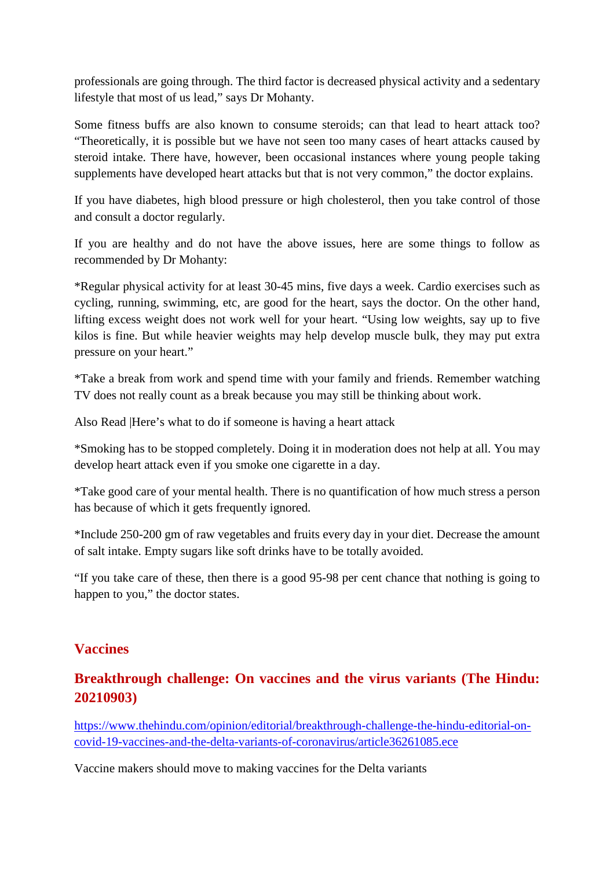professionals are going through. The third factor is decreased physical activity and a sedentary lifestyle that most of us lead," says Dr Mohanty.

Some fitness buffs are also known to consume steroids; can that lead to heart attack too? "Theoretically, it is possible but we have not seen too many cases of heart attacks caused by steroid intake. There have, however, been occasional instances where young people taking supplements have developed heart attacks but that is not very common," the doctor explains.

If you have diabetes, high blood pressure or high cholesterol, then you take control of those and consult a doctor regularly.

If you are healthy and do not have the above issues, here are some things to follow as recommended by Dr Mohanty:

\*Regular physical activity for at least 30-45 mins, five days a week. Cardio exercises such as cycling, running, swimming, etc, are good for the heart, says the doctor. On the other hand, lifting excess weight does not work well for your heart. "Using low weights, say up to five kilos is fine. But while heavier weights may help develop muscle bulk, they may put extra pressure on your heart."

\*Take a break from work and spend time with your family and friends. Remember watching TV does not really count as a break because you may still be thinking about work.

Also Read |Here's what to do if someone is having a heart attack

\*Smoking has to be stopped completely. Doing it in moderation does not help at all. You may develop heart attack even if you smoke one cigarette in a day.

\*Take good care of your mental health. There is no quantification of how much stress a person has because of which it gets frequently ignored.

\*Include 250-200 gm of raw vegetables and fruits every day in your diet. Decrease the amount of salt intake. Empty sugars like soft drinks have to be totally avoided.

"If you take care of these, then there is a good 95-98 per cent chance that nothing is going to happen to you," the doctor states.

#### **Vaccines**

#### **Breakthrough challenge: On vaccines and the virus variants (The Hindu: 20210903)**

https://www.thehindu.com/opinion/editorial/breakthrough-challenge-the-hindu-editorial-oncovid-19-vaccines-and-the-delta-variants-of-coronavirus/article36261085.ece

Vaccine makers should move to making vaccines for the Delta variants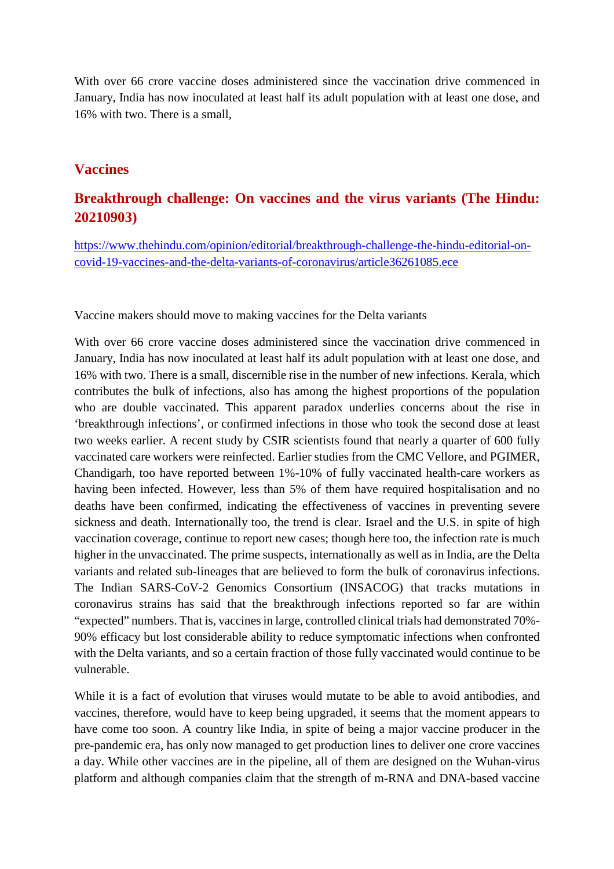With over 66 crore vaccine doses administered since the vaccination drive commenced in January, India has now inoculated at least half its adult population with at least one dose, and 16% with two. There is a small,

#### **Vaccines**

#### **Breakthrough challenge: On vaccines and the virus variants (The Hindu: 20210903)**

https://www.thehindu.com/opinion/editorial/breakthrough-challenge-the-hindu-editorial-oncovid-19-vaccines-and-the-delta-variants-of-coronavirus/article36261085.ece

Vaccine makers should move to making vaccines for the Delta variants

With over 66 crore vaccine doses administered since the vaccination drive commenced in January, India has now inoculated at least half its adult population with at least one dose, and 16% with two. There is a small, discernible rise in the number of new infections. Kerala, which contributes the bulk of infections, also has among the highest proportions of the population who are double vaccinated. This apparent paradox underlies concerns about the rise in 'breakthrough infections', or confirmed infections in those who took the second dose at least two weeks earlier. A recent study by CSIR scientists found that nearly a quarter of 600 fully vaccinated care workers were reinfected. Earlier studies from the CMC Vellore, and PGIMER, Chandigarh, too have reported between 1%-10% of fully vaccinated health-care workers as having been infected. However, less than 5% of them have required hospitalisation and no deaths have been confirmed, indicating the effectiveness of vaccines in preventing severe sickness and death. Internationally too, the trend is clear. Israel and the U.S. in spite of high vaccination coverage, continue to report new cases; though here too, the infection rate is much higher in the unvaccinated. The prime suspects, internationally as well as in India, are the Delta variants and related sub-lineages that are believed to form the bulk of coronavirus infections. The Indian SARS-CoV-2 Genomics Consortium (INSACOG) that tracks mutations in coronavirus strains has said that the breakthrough infections reported so far are within "expected" numbers. That is, vaccines in large, controlled clinical trials had demonstrated 70%- 90% efficacy but lost considerable ability to reduce symptomatic infections when confronted with the Delta variants, and so a certain fraction of those fully vaccinated would continue to be vulnerable.

While it is a fact of evolution that viruses would mutate to be able to avoid antibodies, and vaccines, therefore, would have to keep being upgraded, it seems that the moment appears to have come too soon. A country like India, in spite of being a major vaccine producer in the pre-pandemic era, has only now managed to get production lines to deliver one crore vaccines a day. While other vaccines are in the pipeline, all of them are designed on the Wuhan-virus platform and although companies claim that the strength of m-RNA and DNA-based vaccine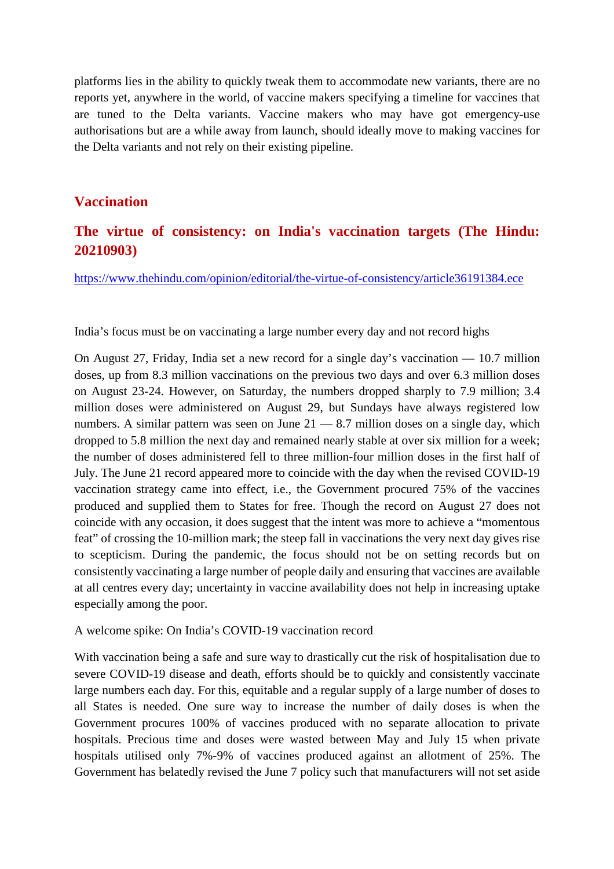platforms lies in the ability to quickly tweak them to accommodate new variants, there are no reports yet, anywhere in the world, of vaccine makers specifying a timeline for vaccines that are tuned to the Delta variants. Vaccine makers who may have got emergency-use authorisations but are a while away from launch, should ideally move to making vaccines for the Delta variants and not rely on their existing pipeline.

#### **Vaccination**

#### **The virtue of consistency: on India's vaccination targets (The Hindu: 20210903)**

https://www.thehindu.com/opinion/editorial/the-virtue-of-consistency/article36191384.ece

India's focus must be on vaccinating a large number every day and not record highs

On August 27, Friday, India set a new record for a single day's vaccination — 10.7 million doses, up from 8.3 million vaccinations on the previous two days and over 6.3 million doses on August 23-24. However, on Saturday, the numbers dropped sharply to 7.9 million; 3.4 million doses were administered on August 29, but Sundays have always registered low numbers. A similar pattern was seen on June  $21 - 8.7$  million doses on a single day, which dropped to 5.8 million the next day and remained nearly stable at over six million for a week; the number of doses administered fell to three million-four million doses in the first half of July. The June 21 record appeared more to coincide with the day when the revised COVID-19 vaccination strategy came into effect, i.e., the Government procured 75% of the vaccines produced and supplied them to States for free. Though the record on August 27 does not coincide with any occasion, it does suggest that the intent was more to achieve a "momentous feat" of crossing the 10-million mark; the steep fall in vaccinations the very next day gives rise to scepticism. During the pandemic, the focus should not be on setting records but on consistently vaccinating a large number of people daily and ensuring that vaccines are available at all centres every day; uncertainty in vaccine availability does not help in increasing uptake especially among the poor.

A welcome spike: On India's COVID-19 vaccination record

With vaccination being a safe and sure way to drastically cut the risk of hospitalisation due to severe COVID-19 disease and death, efforts should be to quickly and consistently vaccinate large numbers each day. For this, equitable and a regular supply of a large number of doses to all States is needed. One sure way to increase the number of daily doses is when the Government procures 100% of vaccines produced with no separate allocation to private hospitals. Precious time and doses were wasted between May and July 15 when private hospitals utilised only 7%-9% of vaccines produced against an allotment of 25%. The Government has belatedly revised the June 7 policy such that manufacturers will not set aside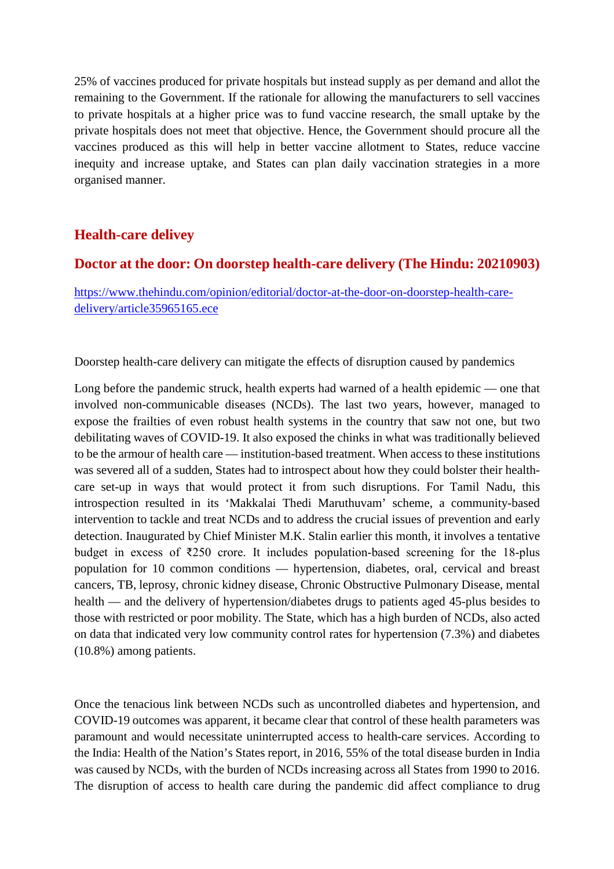25% of vaccines produced for private hospitals but instead supply as per demand and allot the remaining to the Government. If the rationale for allowing the manufacturers to sell vaccines to private hospitals at a higher price was to fund vaccine research, the small uptake by the private hospitals does not meet that objective. Hence, the Government should procure all the vaccines produced as this will help in better vaccine allotment to States, reduce vaccine inequity and increase uptake, and States can plan daily vaccination strategies in a more organised manner.

#### **Health-care delivey**

#### **Doctor at the door: On doorstep health-care delivery (The Hindu: 20210903)**

https://www.thehindu.com/opinion/editorial/doctor-at-the-door-on-doorstep-health-caredelivery/article35965165.ece

Doorstep health-care delivery can mitigate the effects of disruption caused by pandemics

Long before the pandemic struck, health experts had warned of a health epidemic — one that involved non-communicable diseases (NCDs). The last two years, however, managed to expose the frailties of even robust health systems in the country that saw not one, but two debilitating waves of COVID-19. It also exposed the chinks in what was traditionally believed to be the armour of health care — institution-based treatment. When access to these institutions was severed all of a sudden, States had to introspect about how they could bolster their healthcare set-up in ways that would protect it from such disruptions. For Tamil Nadu, this introspection resulted in its 'Makkalai Thedi Maruthuvam' scheme, a community-based intervention to tackle and treat NCDs and to address the crucial issues of prevention and early detection. Inaugurated by Chief Minister M.K. Stalin earlier this month, it involves a tentative budget in excess of  $\overline{250}$  crore. It includes population-based screening for the 18-plus population for 10 common conditions — hypertension, diabetes, oral, cervical and breast cancers, TB, leprosy, chronic kidney disease, Chronic Obstructive Pulmonary Disease, mental health — and the delivery of hypertension/diabetes drugs to patients aged 45-plus besides to those with restricted or poor mobility. The State, which has a high burden of NCDs, also acted on data that indicated very low community control rates for hypertension (7.3%) and diabetes (10.8%) among patients.

Once the tenacious link between NCDs such as uncontrolled diabetes and hypertension, and COVID-19 outcomes was apparent, it became clear that control of these health parameters was paramount and would necessitate uninterrupted access to health-care services. According to the India: Health of the Nation's States report, in 2016, 55% of the total disease burden in India was caused by NCDs, with the burden of NCDs increasing across all States from 1990 to 2016. The disruption of access to health care during the pandemic did affect compliance to drug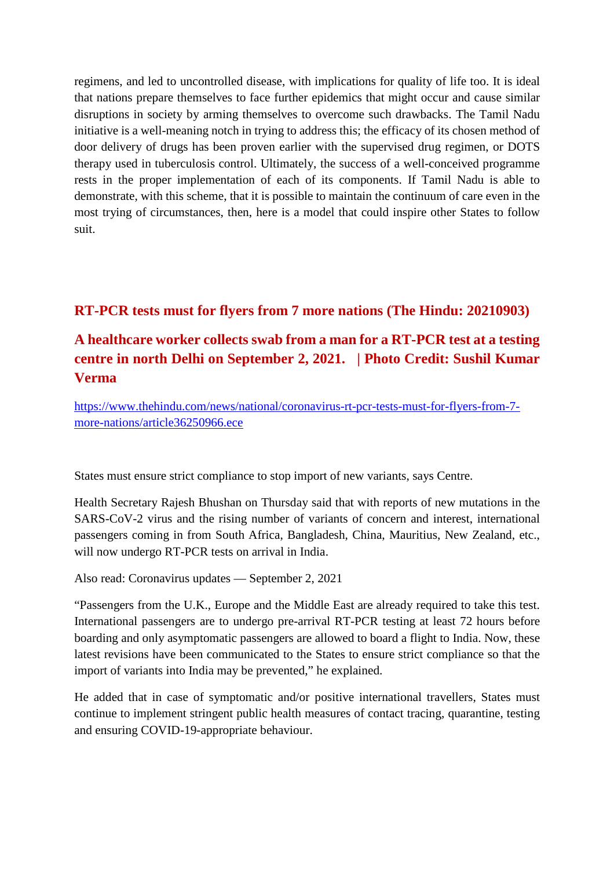regimens, and led to uncontrolled disease, with implications for quality of life too. It is ideal that nations prepare themselves to face further epidemics that might occur and cause similar disruptions in society by arming themselves to overcome such drawbacks. The Tamil Nadu initiative is a well-meaning notch in trying to address this; the efficacy of its chosen method of door delivery of drugs has been proven earlier with the supervised drug regimen, or DOTS therapy used in tuberculosis control. Ultimately, the success of a well-conceived programme rests in the proper implementation of each of its components. If Tamil Nadu is able to demonstrate, with this scheme, that it is possible to maintain the continuum of care even in the most trying of circumstances, then, here is a model that could inspire other States to follow suit.

#### **RT-PCR tests must for flyers from 7 more nations (The Hindu: 20210903)**

## **A healthcare worker collects swab from a man for a RT-PCR test at a testing centre in north Delhi on September 2, 2021. | Photo Credit: Sushil Kumar Verma**

https://www.thehindu.com/news/national/coronavirus-rt-pcr-tests-must-for-flyers-from-7 more-nations/article36250966.ece

States must ensure strict compliance to stop import of new variants, says Centre.

Health Secretary Rajesh Bhushan on Thursday said that with reports of new mutations in the SARS-CoV-2 virus and the rising number of variants of concern and interest, international passengers coming in from South Africa, Bangladesh, China, Mauritius, New Zealand, etc., will now undergo RT-PCR tests on arrival in India.

Also read: Coronavirus updates — September 2, 2021

"Passengers from the U.K., Europe and the Middle East are already required to take this test. International passengers are to undergo pre-arrival RT-PCR testing at least 72 hours before boarding and only asymptomatic passengers are allowed to board a flight to India. Now, these latest revisions have been communicated to the States to ensure strict compliance so that the import of variants into India may be prevented," he explained.

He added that in case of symptomatic and/or positive international travellers, States must continue to implement stringent public health measures of contact tracing, quarantine, testing and ensuring COVID-19-appropriate behaviour.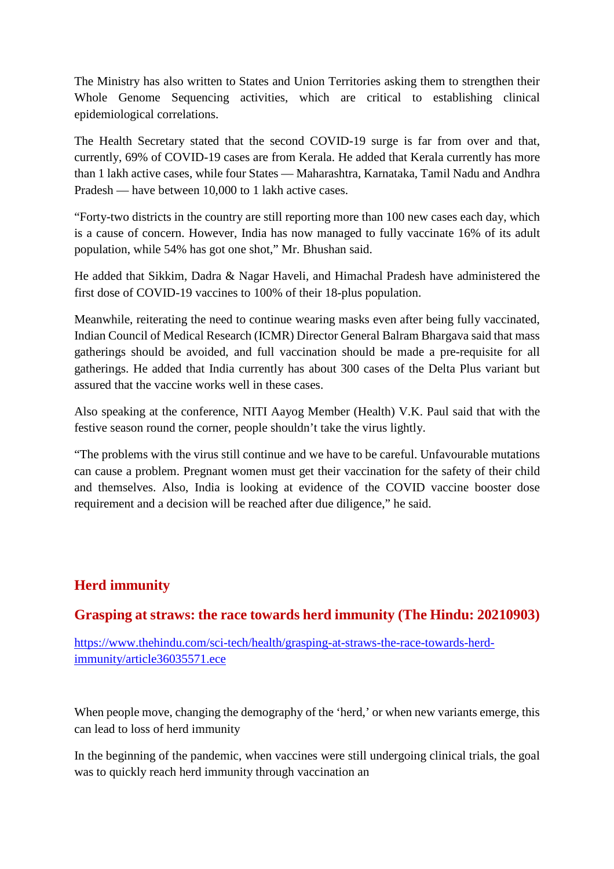The Ministry has also written to States and Union Territories asking them to strengthen their Whole Genome Sequencing activities, which are critical to establishing clinical epidemiological correlations.

The Health Secretary stated that the second COVID-19 surge is far from over and that, currently, 69% of COVID-19 cases are from Kerala. He added that Kerala currently has more than 1 lakh active cases, while four States — Maharashtra, Karnataka, Tamil Nadu and Andhra Pradesh — have between 10,000 to 1 lakh active cases.

"Forty-two districts in the country are still reporting more than 100 new cases each day, which is a cause of concern. However, India has now managed to fully vaccinate 16% of its adult population, while 54% has got one shot," Mr. Bhushan said.

He added that Sikkim, Dadra & Nagar Haveli, and Himachal Pradesh have administered the first dose of COVID-19 vaccines to 100% of their 18-plus population.

Meanwhile, reiterating the need to continue wearing masks even after being fully vaccinated, Indian Council of Medical Research (ICMR) Director General Balram Bhargava said that mass gatherings should be avoided, and full vaccination should be made a pre-requisite for all gatherings. He added that India currently has about 300 cases of the Delta Plus variant but assured that the vaccine works well in these cases.

Also speaking at the conference, NITI Aayog Member (Health) V.K. Paul said that with the festive season round the corner, people shouldn't take the virus lightly.

"The problems with the virus still continue and we have to be careful. Unfavourable mutations can cause a problem. Pregnant women must get their vaccination for the safety of their child and themselves. Also, India is looking at evidence of the COVID vaccine booster dose requirement and a decision will be reached after due diligence," he said.

#### **Herd immunity**

#### **Grasping at straws: the race towards herd immunity (The Hindu: 20210903)**

https://www.thehindu.com/sci-tech/health/grasping-at-straws-the-race-towards-herdimmunity/article36035571.ece

When people move, changing the demography of the 'herd,' or when new variants emerge, this can lead to loss of herd immunity

In the beginning of the pandemic, when vaccines were still undergoing clinical trials, the goal was to quickly reach herd immunity through vaccination an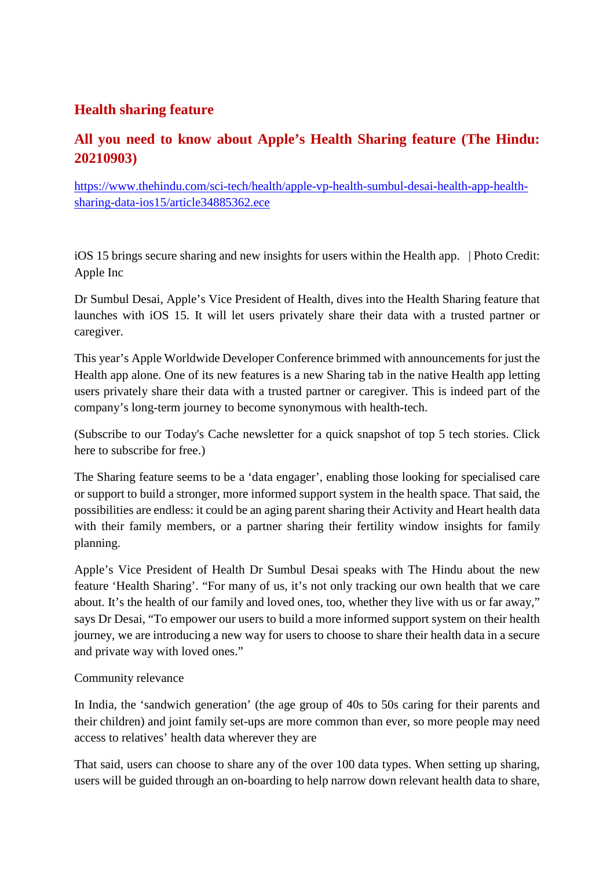#### **Health sharing feature**

#### **All you need to know about Apple's Health Sharing feature (The Hindu: 20210903)**

https://www.thehindu.com/sci-tech/health/apple-vp-health-sumbul-desai-health-app-healthsharing-data-ios15/article34885362.ece

iOS 15 brings secure sharing and new insights for users within the Health app. | Photo Credit: Apple Inc

Dr Sumbul Desai, Apple's Vice President of Health, dives into the Health Sharing feature that launches with iOS 15. It will let users privately share their data with a trusted partner or caregiver.

This year's Apple Worldwide Developer Conference brimmed with announcements for just the Health app alone. One of its new features is a new Sharing tab in the native Health app letting users privately share their data with a trusted partner or caregiver. This is indeed part of the company's long-term journey to become synonymous with health-tech.

(Subscribe to our Today's Cache newsletter for a quick snapshot of top 5 tech stories. Click here to subscribe for free.)

The Sharing feature seems to be a 'data engager', enabling those looking for specialised care or support to build a stronger, more informed support system in the health space. That said, the possibilities are endless: it could be an aging parent sharing their Activity and Heart health data with their family members, or a partner sharing their fertility window insights for family planning.

Apple's Vice President of Health Dr Sumbul Desai speaks with The Hindu about the new feature 'Health Sharing'. "For many of us, it's not only tracking our own health that we care about. It's the health of our family and loved ones, too, whether they live with us or far away," says Dr Desai, "To empower our users to build a more informed support system on their health journey, we are introducing a new way for users to choose to share their health data in a secure and private way with loved ones."

#### Community relevance

In India, the 'sandwich generation' (the age group of 40s to 50s caring for their parents and their children) and joint family set-ups are more common than ever, so more people may need access to relatives' health data wherever they are

That said, users can choose to share any of the over 100 data types. When setting up sharing, users will be guided through an on-boarding to help narrow down relevant health data to share,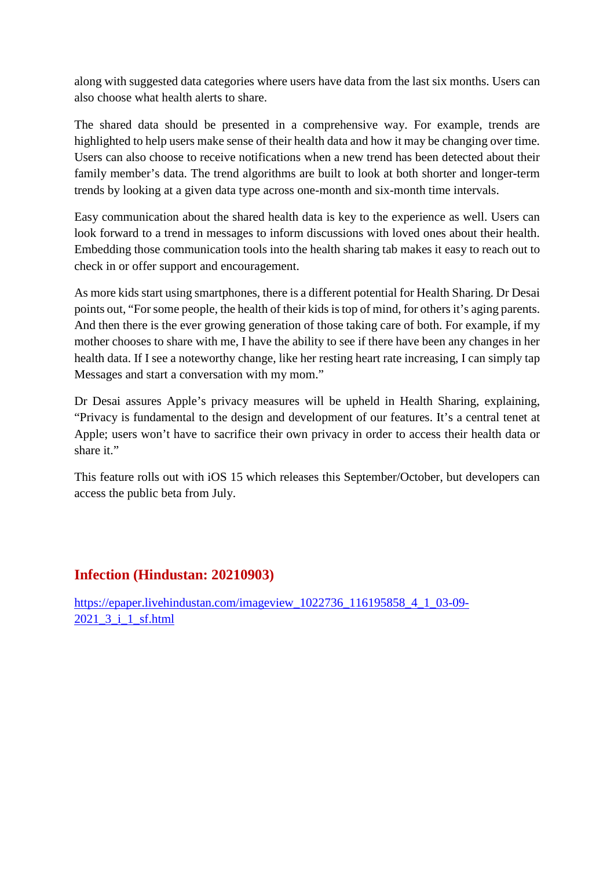along with suggested data categories where users have data from the last six months. Users can also choose what health alerts to share.

The shared data should be presented in a comprehensive way. For example, trends are highlighted to help users make sense of their health data and how it may be changing over time. Users can also choose to receive notifications when a new trend has been detected about their family member's data. The trend algorithms are built to look at both shorter and longer-term trends by looking at a given data type across one-month and six-month time intervals.

Easy communication about the shared health data is key to the experience as well. Users can look forward to a trend in messages to inform discussions with loved ones about their health. Embedding those communication tools into the health sharing tab makes it easy to reach out to check in or offer support and encouragement.

As more kids start using smartphones, there is a different potential for Health Sharing. Dr Desai points out, "For some people, the health of their kids is top of mind, for others it's aging parents. And then there is the ever growing generation of those taking care of both. For example, if my mother chooses to share with me, I have the ability to see if there have been any changes in her health data. If I see a noteworthy change, like her resting heart rate increasing, I can simply tap Messages and start a conversation with my mom."

Dr Desai assures Apple's privacy measures will be upheld in Health Sharing, explaining, "Privacy is fundamental to the design and development of our features. It's a central tenet at Apple; users won't have to sacrifice their own privacy in order to access their health data or share it."

This feature rolls out with iOS 15 which releases this September/October, but developers can access the public beta from July.

#### **Infection (Hindustan: 20210903)**

https://epaper.livehindustan.com/imageview\_1022736\_116195858\_4\_1\_03-09-2021\_3\_i\_1\_sf.html